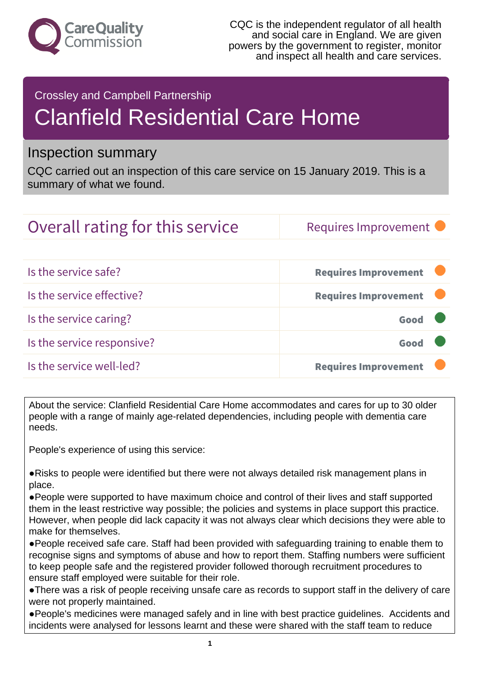

#### Crossley and Campbell Partnership

# Clanfield Residential Care Home

### Inspection summary

CQC carried out an inspection of this care service on 15 January 2019. This is a summary of what we found.

## Overall rating for this service Requires Improvement

| Is the service safe?       | <b>Requires Improvement</b> |
|----------------------------|-----------------------------|
| Is the service effective?  | <b>Requires Improvement</b> |
| Is the service caring?     | Good                        |
| Is the service responsive? | Good                        |
| Is the service well-led?   | <b>Requires Improvement</b> |

About the service: Clanfield Residential Care Home accommodates and cares for up to 30 older people with a range of mainly age-related dependencies, including people with dementia care needs.

People's experience of using this service:

●Risks to people were identified but there were not always detailed risk management plans in place.

●People were supported to have maximum choice and control of their lives and staff supported them in the least restrictive way possible; the policies and systems in place support this practice. However, when people did lack capacity it was not always clear which decisions they were able to make for themselves.

●People received safe care. Staff had been provided with safeguarding training to enable them to recognise signs and symptoms of abuse and how to report them. Staffing numbers were sufficient to keep people safe and the registered provider followed thorough recruitment procedures to ensure staff employed were suitable for their role.

●There was a risk of people receiving unsafe care as records to support staff in the delivery of care were not properly maintained.

●People's medicines were managed safely and in line with best practice guidelines. Accidents and incidents were analysed for lessons learnt and these were shared with the staff team to reduce